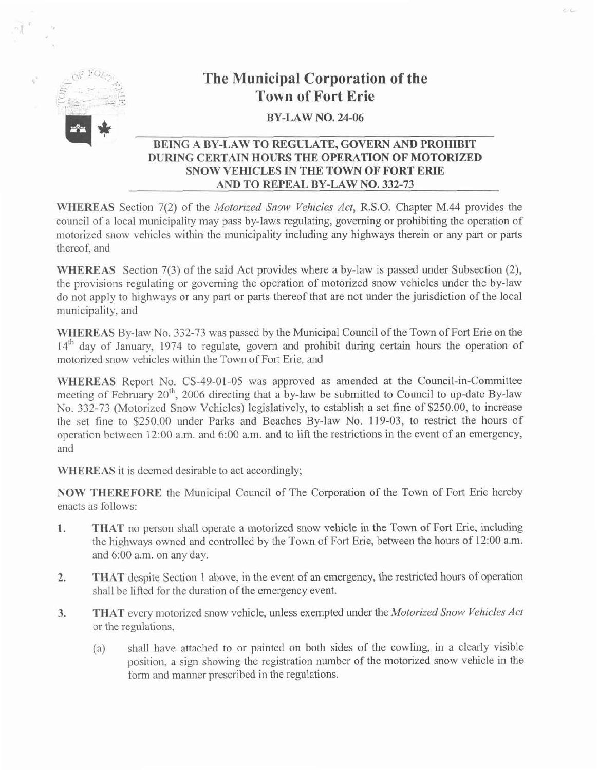

# **The Municipal Corporation of the Town of Fort Erie**

### **BY-LAW NO. 24-06**

## **BEING A BY-LAW TO REGULATE, GOVERN AND PROHIBIT DURING CERTAIN HOURS THE OPERATION OF MOTORIZED SNOW VEHICLES IN THE TOWN OF FORT ERIE AND TO REPEAL BY-LAW NO. 332-73**

**WHEREAS** Section 7(2) of the Motorized Snow Vehicles Act, R.S.O. Chapter M.44 provides the council of a local municipality may pass by-laws regulating, governing or prohibiting the operation of motorized snow vehicles within the municipality including any highways therein or any part or parts thereof, and

**WHEREAS** Section 7(3) of the said Act provides where a by-law is passed under Subsection (2), the provisions regulating or governing the operation of motorized snow vehicles under the by-law do not apply to highways or any part or parts thereof that are not under the jurisdiction of the local municipality, and

**WHEREAS** By-law No. 332-73 was passed by the Municipal Council of the Town of Fort Erie on the **14'~** day of January, 1974 to regulate, govern and prohibit during certain hours the operation of motorized snow vehicles within the Town of Fort Erie, and

**WHEREAS** Report No. CS-49-01-05 was approved as amended at the Council-in-Committee meeting of February 20<sup>th</sup>, 2006 directing that a by-law be submitted to Council to up-date By-law No. 332-73 (Motorized Snow Vehicles) legislatively, to establish a set fine of \$250.00, to increase the set fine to \$250.00 under Parks and Beaches By-law No. 119-03, to restrict the hours of operation between 12:OO a.m. and 6:00 a.m. and to lift the restrictions in the event of an emergency, and

**WHEREAS** it is deemed desirable to act accordingly;

**NOW THEREFORE** the Municipal Council of The Corporation of the Town of Fort Erie hereby enacts as follows:

- **1. THAT** no person shall operate a motorized snow vehicle in the Town of Fort Erie, including the highways owned and controlled by the Town of Fort Erie, between the hours of 12:OO a.m. and 6:00 a.m. on any day.
- **2. THAT** despite Section **1** above, in the event of an emergency, the restricted hours of operation shall be lifted for the duration of the emergency event.
- 3. THAT every motorized snow vehicle, unless exempted under the Motorized Snow Vehicles Act or the regulations,
	- (a) shall have attached to or painted on both sides of the cowling, in a clearly visible position, a sign showing the registration number of the motorized snow vehicle in the form and manner prescribed in the regulations.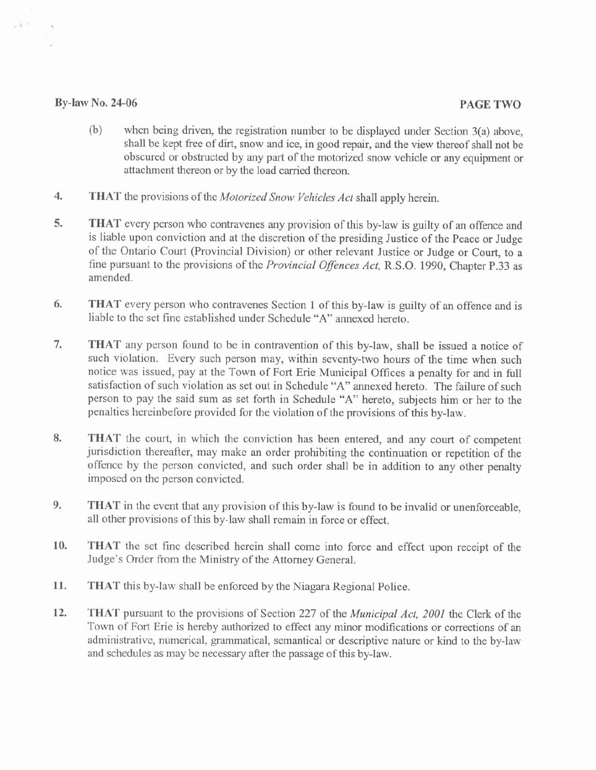#### **By-law No. 24-06 PAGE TWO**

28

- (b) when being driven, the registration number to be displayed under Section 3(a) above, shall be kept free of dirt, snow and ice, in good repair, and the view thereof shall not be obscured or obstructed by any part of the motorized snow vehicle or any equipment or attachment thereon or by the load carried thereon.
- **4. THAT** the provisions of the *Motorized Snow Vehicles Act* shall apply herein.
- **5. THAT** every person who contravenes any provision of this by-law is guilty of an offence and is liable upon conviction and at the discretion of the presiding Justice of the Peace or Judge of the Ontario Court (Provincial Division) or other relevant Justice or Judge or Court, to a fine pursuant to the provisions of the *Provincial Offences Act,* R.S.O. 1990, Chapter P.33 as amended.
- **6. THAT** every person who contravenes Section 1 of this by-law is guilty of an offence and is liable to the set fine established under Schedule "A" annexed hereto.
- **7. THAT** any person found to be in contravention of this by-law, shall be issued a notice of such violation. Every such person may, within seventy-two hours of the time when such notice was issued, pay at the Town of Fort Erie Municipal Offices a penalty for and in fill satisfaction of such violation as set out in Schedule "A" annexed hereto. The failure of such person to pay the said sum as set forth in Schedule "A" hereto, subjects him or her to the penalties hereinbefore provided for the violation of the provisions of this by-law.
- **8. THAT** the court, in which the conviction has been entered, and any court of competent jurisdiction thereafter, may make an order prohibiting the continuation or repetition of the offence by the person convicted, and such order shall be in addition to any other penalty imposed on the person convicted.
- **9. THAT** in the event that any provision of this by-law is found to be invalid or unenforceable, all other provisions of this by-law shall remain in force or effect.
- **10. THAT** the set fine described herein shall come into force and effect upon receipt of the Judge's Order from the Ministry of the Attorney General.
- **11. THAT** this by-law shall be enforced by the Niagara Regional Police.
- **12. THAT** pursuant to the provisions of Section 227 of the *Municipal Act,* 2001 the Clerk of the Town of Fort Erie is hereby authorized to effect any minor modifications or corrections of an administrative, numerical, grammatical, semantical or descriptive nature or kind to the by-law and schedules as may be necessary after the passage of this by-law.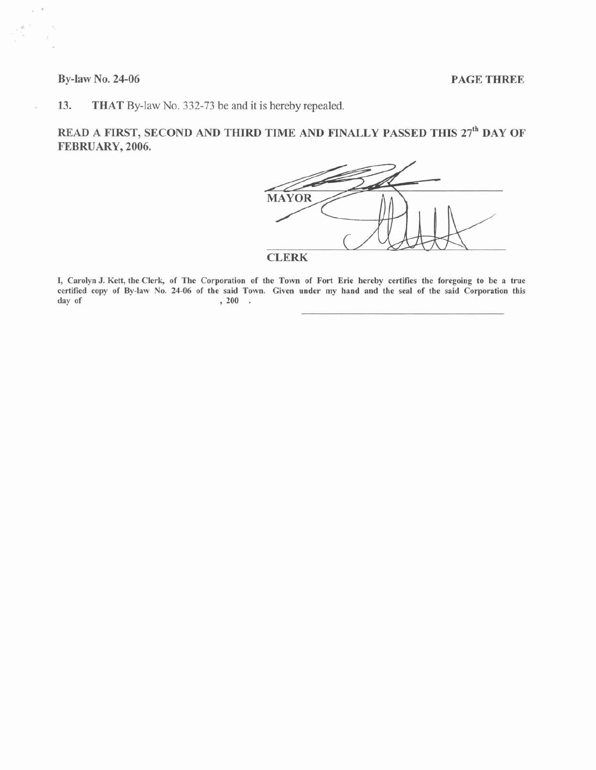#### **By-law No. 24-06 PAGE THREE**

ÿ.  $\boldsymbol{r}$ 

à.

s

**13. THAT** By-law No. **332-73** be and it is hereby repealed.

**READ A FIRST, SECOND AND THIRD TIME AND FINALLY PASSED THIS 27th DAY OF FEBRUARY, 2006.** 



**I, Carolyn J. Kett, the Clerk, of The Corporation of the Town of Fort Erie hereby certifies the foregoing to be a true certified copy of By-law No. 24-06 of the said Town. Given under my hand and the seal of the said Corporation this day of** , **200** .